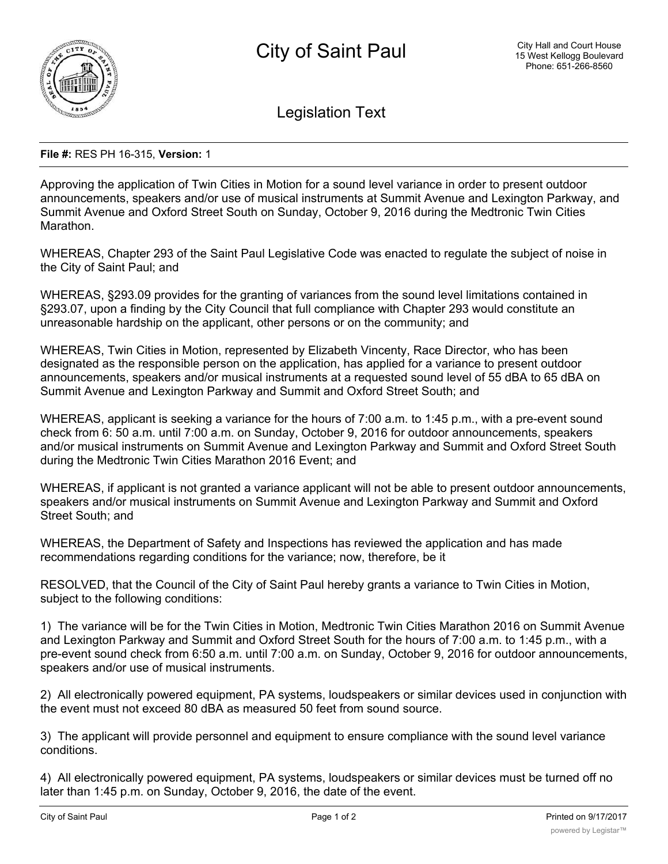

Legislation Text

## **File #:** RES PH 16-315, **Version:** 1

Approving the application of Twin Cities in Motion for a sound level variance in order to present outdoor announcements, speakers and/or use of musical instruments at Summit Avenue and Lexington Parkway, and Summit Avenue and Oxford Street South on Sunday, October 9, 2016 during the Medtronic Twin Cities Marathon.

WHEREAS, Chapter 293 of the Saint Paul Legislative Code was enacted to regulate the subject of noise in the City of Saint Paul; and

WHEREAS, §293.09 provides for the granting of variances from the sound level limitations contained in §293.07, upon a finding by the City Council that full compliance with Chapter 293 would constitute an unreasonable hardship on the applicant, other persons or on the community; and

WHEREAS, Twin Cities in Motion, represented by Elizabeth Vincenty, Race Director, who has been designated as the responsible person on the application, has applied for a variance to present outdoor announcements, speakers and/or musical instruments at a requested sound level of 55 dBA to 65 dBA on Summit Avenue and Lexington Parkway and Summit and Oxford Street South; and

WHEREAS, applicant is seeking a variance for the hours of 7:00 a.m. to 1:45 p.m., with a pre-event sound check from 6: 50 a.m. until 7:00 a.m. on Sunday, October 9, 2016 for outdoor announcements, speakers and/or musical instruments on Summit Avenue and Lexington Parkway and Summit and Oxford Street South during the Medtronic Twin Cities Marathon 2016 Event; and

WHEREAS, if applicant is not granted a variance applicant will not be able to present outdoor announcements, speakers and/or musical instruments on Summit Avenue and Lexington Parkway and Summit and Oxford Street South; and

WHEREAS, the Department of Safety and Inspections has reviewed the application and has made recommendations regarding conditions for the variance; now, therefore, be it

RESOLVED, that the Council of the City of Saint Paul hereby grants a variance to Twin Cities in Motion, subject to the following conditions:

1) The variance will be for the Twin Cities in Motion, Medtronic Twin Cities Marathon 2016 on Summit Avenue and Lexington Parkway and Summit and Oxford Street South for the hours of 7:00 a.m. to 1:45 p.m., with a pre-event sound check from 6:50 a.m. until 7:00 a.m. on Sunday, October 9, 2016 for outdoor announcements, speakers and/or use of musical instruments.

2) All electronically powered equipment, PA systems, loudspeakers or similar devices used in conjunction with the event must not exceed 80 dBA as measured 50 feet from sound source.

3) The applicant will provide personnel and equipment to ensure compliance with the sound level variance conditions.

4) All electronically powered equipment, PA systems, loudspeakers or similar devices must be turned off no later than 1:45 p.m. on Sunday, October 9, 2016, the date of the event.